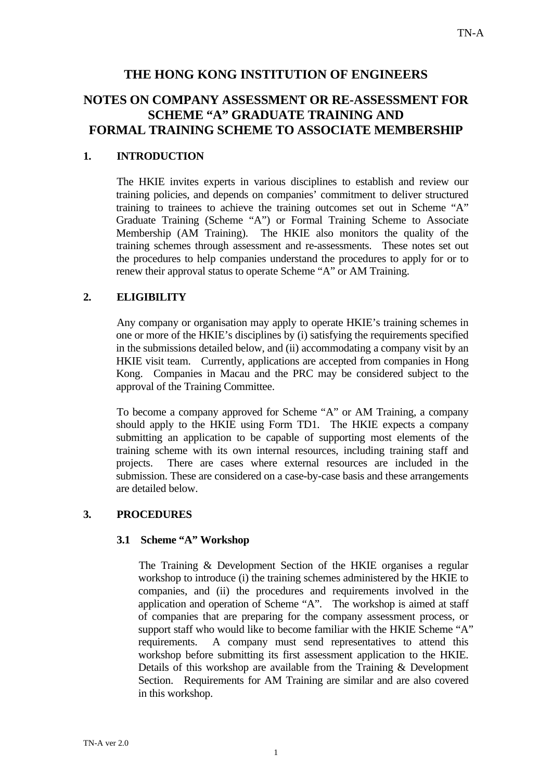## **THE HONG KONG INSTITUTION OF ENGINEERS**

## **NOTES ON COMPANY ASSESSMENT OR RE-ASSESSMENT FOR SCHEME "A" GRADUATE TRAINING AND FORMAL TRAINING SCHEME TO ASSOCIATE MEMBERSHIP**

## **1. INTRODUCTION**

The HKIE invites experts in various disciplines to establish and review our training policies, and depends on companies' commitment to deliver structured training to trainees to achieve the training outcomes set out in Scheme "A" Graduate Training (Scheme "A") or Formal Training Scheme to Associate Membership (AM Training). The HKIE also monitors the quality of the training schemes through assessment and re-assessments. These notes set out the procedures to help companies understand the procedures to apply for or to renew their approval status to operate Scheme "A" or AM Training.

## **2. ELIGIBILITY**

Any company or organisation may apply to operate HKIE's training schemes in one or more of the HKIE's disciplines by (i) satisfying the requirements specified in the submissions detailed below, and (ii) accommodating a company visit by an HKIE visit team. Currently, applications are accepted from companies in Hong Kong. Companies in Macau and the PRC may be considered subject to the approval of the Training Committee.

To become a company approved for Scheme "A" or AM Training, a company should apply to the HKIE using Form TD1. The HKIE expects a company submitting an application to be capable of supporting most elements of the training scheme with its own internal resources, including training staff and projects. There are cases where external resources are included in the submission. These are considered on a case-by-case basis and these arrangements are detailed below.

#### **3. PROCEDURES**

#### **3.1 Scheme "A" Workshop**

The Training & Development Section of the HKIE organises a regular workshop to introduce (i) the training schemes administered by the HKIE to companies, and (ii) the procedures and requirements involved in the application and operation of Scheme "A". The workshop is aimed at staff of companies that are preparing for the company assessment process, or support staff who would like to become familiar with the HKIE Scheme "A" requirements. A company must send representatives to attend this workshop before submitting its first assessment application to the HKIE. Details of this workshop are available from the Training & Development Section. Requirements for AM Training are similar and are also covered in this workshop.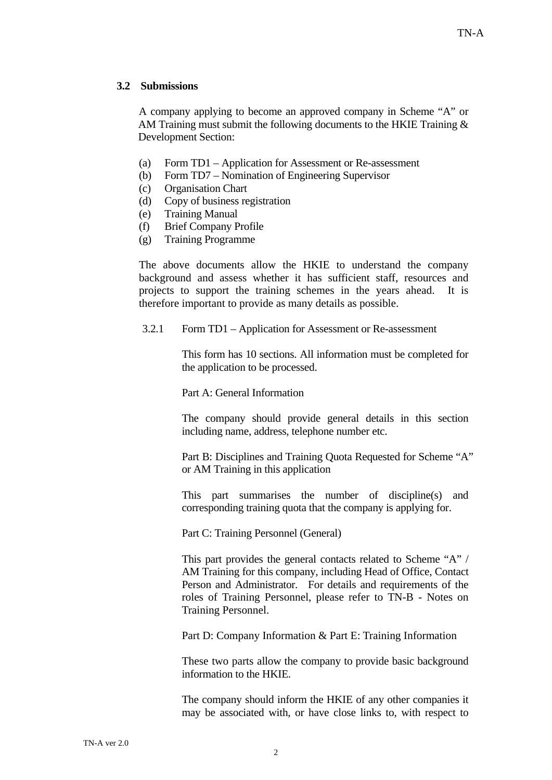## **3.2 Submissions**

A company applying to become an approved company in Scheme "A" or AM Training must submit the following documents to the HKIE Training & Development Section:

- (a) Form TD1 Application for Assessment or Re-assessment
- (b) Form TD7 Nomination of Engineering Supervisor
- (c) Organisation Chart
- (d) Copy of business registration
- (e) Training Manual
- (f) Brief Company Profile
- (g) Training Programme

The above documents allow the HKIE to understand the company background and assess whether it has sufficient staff, resources and projects to support the training schemes in the years ahead. It is therefore important to provide as many details as possible.

3.2.1 Form TD1 – Application for Assessment or Re-assessment

This form has 10 sections. All information must be completed for the application to be processed.

Part A: General Information

The company should provide general details in this section including name, address, telephone number etc.

Part B: Disciplines and Training Quota Requested for Scheme "A" or AM Training in this application

This part summarises the number of discipline(s) and corresponding training quota that the company is applying for.

Part C: Training Personnel (General)

This part provides the general contacts related to Scheme "A" / AM Training for this company, including Head of Office, Contact Person and Administrator. For details and requirements of the roles of Training Personnel, please refer to TN-B - Notes on Training Personnel.

Part D: Company Information & Part E: Training Information

These two parts allow the company to provide basic background information to the HKIE.

The company should inform the HKIE of any other companies it may be associated with, or have close links to, with respect to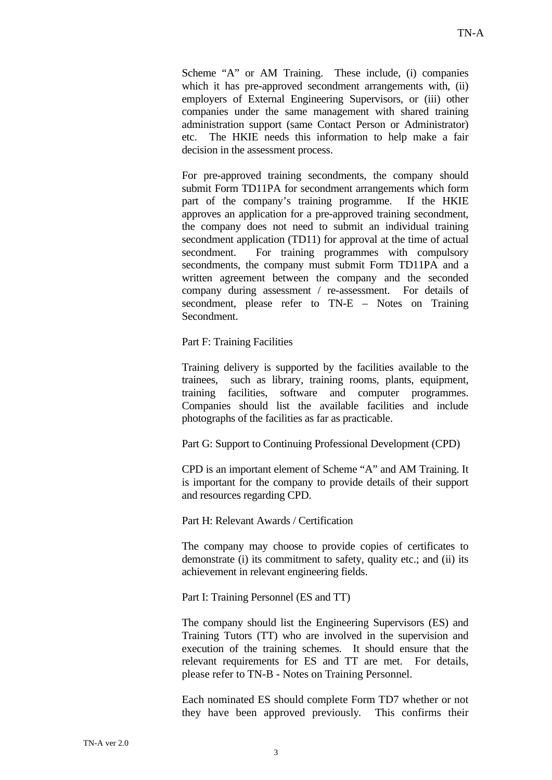Scheme "A" or AM Training. These include, (i) companies which it has pre-approved secondment arrangements with, (ii) employers of External Engineering Supervisors, or (iii) other companies under the same management with shared training administration support (same Contact Person or Administrator) etc. The HKIE needs this information to help make a fair decision in the assessment process.

For pre-approved training secondments, the company should submit Form TD11PA for secondment arrangements which form part of the company's training programme. If the HKIE approves an application for a pre-approved training secondment, the company does not need to submit an individual training secondment application (TD11) for approval at the time of actual secondment. For training programmes with compulsory secondments, the company must submit Form TD11PA and a written agreement between the company and the seconded company during assessment / re-assessment. For details of secondment, please refer to TN-E – Notes on Training **Secondment** 

Part F: Training Facilities

Training delivery is supported by the facilities available to the trainees, such as library, training rooms, plants, equipment, training facilities, software and computer programmes. Companies should list the available facilities and include photographs of the facilities as far as practicable.

Part G: Support to Continuing Professional Development (CPD)

CPD is an important element of Scheme "A" and AM Training. It is important for the company to provide details of their support and resources regarding CPD.

Part H: Relevant Awards / Certification

The company may choose to provide copies of certificates to demonstrate (i) its commitment to safety, quality etc.; and (ii) its achievement in relevant engineering fields.

Part I: Training Personnel (ES and TT)

The company should list the Engineering Supervisors (ES) and Training Tutors (TT) who are involved in the supervision and execution of the training schemes. It should ensure that the relevant requirements for ES and TT are met. For details, please refer to TN-B - Notes on Training Personnel.

Each nominated ES should complete Form TD7 whether or not they have been approved previously. This confirms their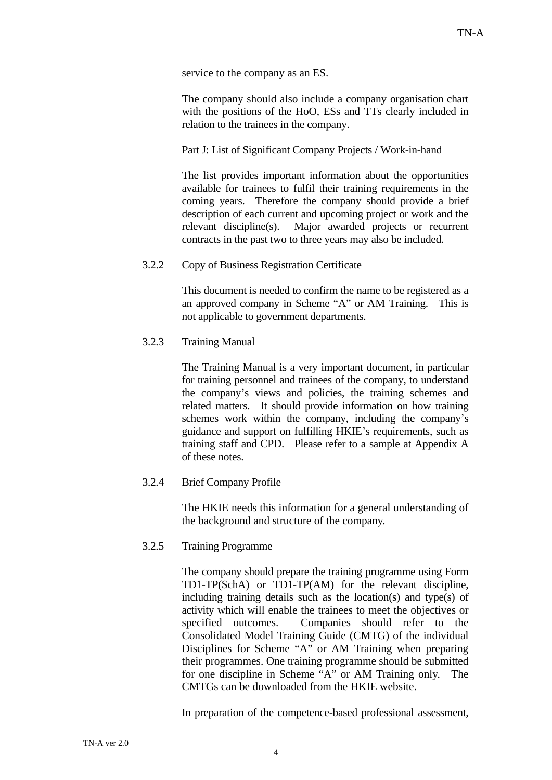service to the company as an ES.

The company should also include a company organisation chart with the positions of the HoO, ESs and TTs clearly included in relation to the trainees in the company.

Part J: List of Significant Company Projects / Work-in-hand

The list provides important information about the opportunities available for trainees to fulfil their training requirements in the coming years. Therefore the company should provide a brief description of each current and upcoming project or work and the relevant discipline(s). Major awarded projects or recurrent contracts in the past two to three years may also be included.

#### 3.2.2 Copy of Business Registration Certificate

This document is needed to confirm the name to be registered as a an approved company in Scheme "A" or AM Training. This is not applicable to government departments.

#### 3.2.3 Training Manual

The Training Manual is a very important document, in particular for training personnel and trainees of the company, to understand the company's views and policies, the training schemes and related matters. It should provide information on how training schemes work within the company, including the company's guidance and support on fulfilling HKIE's requirements, such as training staff and CPD. Please refer to a sample at Appendix A of these notes.

#### 3.2.4 Brief Company Profile

The HKIE needs this information for a general understanding of the background and structure of the company.

#### 3.2.5 Training Programme

The company should prepare the training programme using Form TD1-TP(SchA) or TD1-TP(AM) for the relevant discipline, including training details such as the location(s) and type(s) of activity which will enable the trainees to meet the objectives or specified outcomes. Companies should refer to the Consolidated Model Training Guide (CMTG) of the individual Disciplines for Scheme "A" or AM Training when preparing their programmes. One training programme should be submitted for one discipline in Scheme "A" or AM Training only. The CMTGs can be downloaded from the HKIE website.

In preparation of the competence-based professional assessment,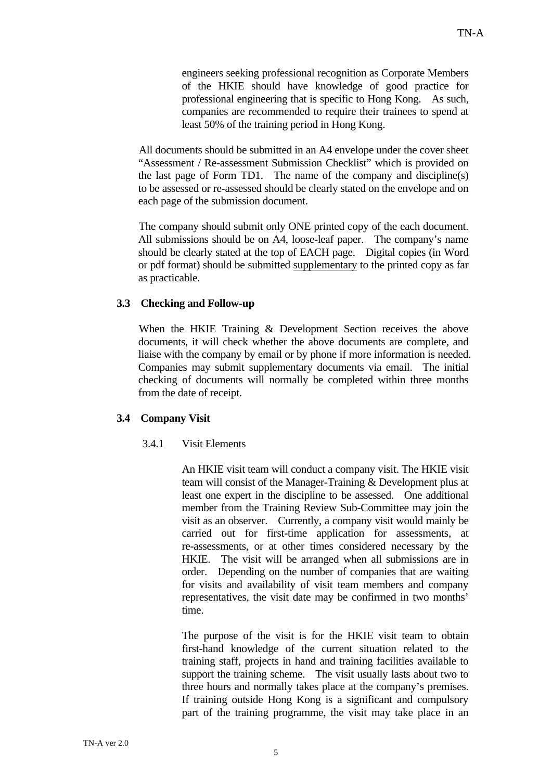engineers seeking professional recognition as Corporate Members of the HKIE should have knowledge of good practice for professional engineering that is specific to Hong Kong. As such, companies are recommended to require their trainees to spend at least 50% of the training period in Hong Kong.

All documents should be submitted in an A4 envelope under the cover sheet "Assessment / Re-assessment Submission Checklist" which is provided on the last page of Form TD1. The name of the company and discipline(s) to be assessed or re-assessed should be clearly stated on the envelope and on each page of the submission document.

The company should submit only ONE printed copy of the each document. All submissions should be on A4, loose-leaf paper. The company's name should be clearly stated at the top of EACH page. Digital copies (in Word or pdf format) should be submitted supplementary to the printed copy as far as practicable.

#### **3.3 Checking and Follow-up**

When the HKIE Training & Development Section receives the above documents, it will check whether the above documents are complete, and liaise with the company by email or by phone if more information is needed. Companies may submit supplementary documents via email. The initial checking of documents will normally be completed within three months from the date of receipt.

#### **3.4 Company Visit**

## 3.4.1 Visit Elements

An HKIE visit team will conduct a company visit. The HKIE visit team will consist of the Manager-Training & Development plus at least one expert in the discipline to be assessed. One additional member from the Training Review Sub-Committee may join the visit as an observer. Currently, a company visit would mainly be carried out for first-time application for assessments, at re-assessments, or at other times considered necessary by the HKIE. The visit will be arranged when all submissions are in order. Depending on the number of companies that are waiting for visits and availability of visit team members and company representatives, the visit date may be confirmed in two months' time.

The purpose of the visit is for the HKIE visit team to obtain first-hand knowledge of the current situation related to the training staff, projects in hand and training facilities available to support the training scheme. The visit usually lasts about two to three hours and normally takes place at the company's premises. If training outside Hong Kong is a significant and compulsory part of the training programme, the visit may take place in an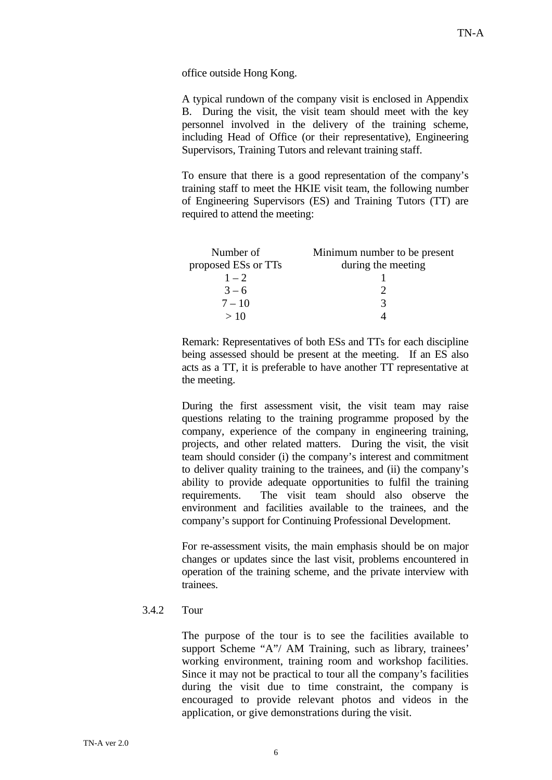office outside Hong Kong.

A typical rundown of the company visit is enclosed in Appendix B. During the visit, the visit team should meet with the key personnel involved in the delivery of the training scheme, including Head of Office (or their representative), Engineering Supervisors, Training Tutors and relevant training staff.

To ensure that there is a good representation of the company's training staff to meet the HKIE visit team, the following number of Engineering Supervisors (ES) and Training Tutors (TT) are required to attend the meeting:

| Number of           | Minimum number to be present |
|---------------------|------------------------------|
| proposed ESs or TTs | during the meeting           |
| $1 - 2$             |                              |
| $3 - 6$             |                              |
| $7 - 10$            | 3                            |
| >10                 |                              |

Remark: Representatives of both ESs and TTs for each discipline being assessed should be present at the meeting. If an ES also acts as a TT, it is preferable to have another TT representative at the meeting.

During the first assessment visit, the visit team may raise questions relating to the training programme proposed by the company, experience of the company in engineering training, projects, and other related matters. During the visit, the visit team should consider (i) the company's interest and commitment to deliver quality training to the trainees, and (ii) the company's ability to provide adequate opportunities to fulfil the training requirements. The visit team should also observe the environment and facilities available to the trainees, and the company's support for Continuing Professional Development.

For re-assessment visits, the main emphasis should be on major changes or updates since the last visit, problems encountered in operation of the training scheme, and the private interview with trainees.

#### 3.4.2 Tour

The purpose of the tour is to see the facilities available to support Scheme "A"/ AM Training, such as library, trainees' working environment, training room and workshop facilities. Since it may not be practical to tour all the company's facilities during the visit due to time constraint, the company is encouraged to provide relevant photos and videos in the application, or give demonstrations during the visit.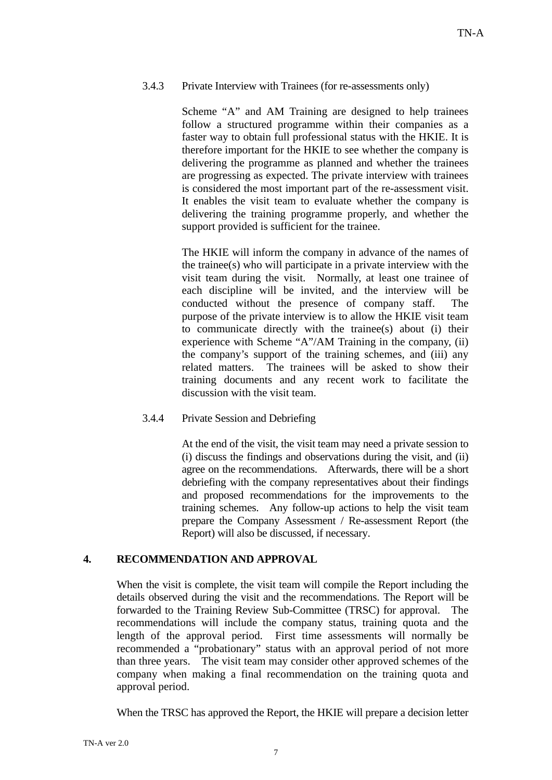#### 3.4.3 Private Interview with Trainees (for re-assessments only)

Scheme "A" and AM Training are designed to help trainees follow a structured programme within their companies as a faster way to obtain full professional status with the HKIE. It is therefore important for the HKIE to see whether the company is delivering the programme as planned and whether the trainees are progressing as expected. The private interview with trainees is considered the most important part of the re-assessment visit. It enables the visit team to evaluate whether the company is delivering the training programme properly, and whether the support provided is sufficient for the trainee.

The HKIE will inform the company in advance of the names of the trainee(s) who will participate in a private interview with the visit team during the visit. Normally, at least one trainee of each discipline will be invited, and the interview will be conducted without the presence of company staff. The purpose of the private interview is to allow the HKIE visit team to communicate directly with the trainee(s) about (i) their experience with Scheme "A"/AM Training in the company, (ii) the company's support of the training schemes, and (iii) any related matters. The trainees will be asked to show their training documents and any recent work to facilitate the discussion with the visit team.

#### 3.4.4 Private Session and Debriefing

At the end of the visit, the visit team may need a private session to (i) discuss the findings and observations during the visit, and (ii) agree on the recommendations. Afterwards, there will be a short debriefing with the company representatives about their findings and proposed recommendations for the improvements to the training schemes. Any follow-up actions to help the visit team prepare the Company Assessment / Re-assessment Report (the Report) will also be discussed, if necessary.

## **4. RECOMMENDATION AND APPROVAL**

When the visit is complete, the visit team will compile the Report including the details observed during the visit and the recommendations. The Report will be forwarded to the Training Review Sub-Committee (TRSC) for approval. The recommendations will include the company status, training quota and the length of the approval period. First time assessments will normally be recommended a "probationary" status with an approval period of not more than three years. The visit team may consider other approved schemes of the company when making a final recommendation on the training quota and approval period.

When the TRSC has approved the Report, the HKIE will prepare a decision letter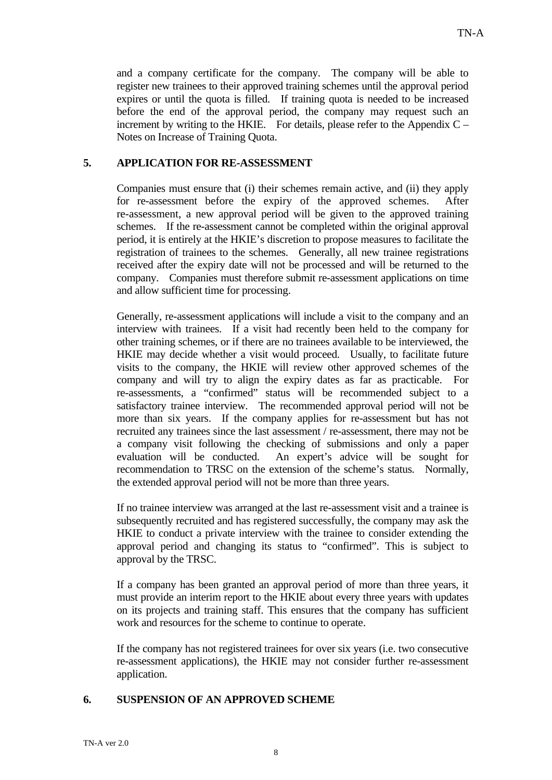and a company certificate for the company. The company will be able to register new trainees to their approved training schemes until the approval period expires or until the quota is filled. If training quota is needed to be increased before the end of the approval period, the company may request such an increment by writing to the HKIE. For details, please refer to the Appendix  $C -$ Notes on Increase of Training Quota.

## **5. APPLICATION FOR RE-ASSESSMENT**

Companies must ensure that (i) their schemes remain active, and (ii) they apply for re-assessment before the expiry of the approved schemes. After re-assessment, a new approval period will be given to the approved training schemes. If the re-assessment cannot be completed within the original approval period, it is entirely at the HKIE's discretion to propose measures to facilitate the registration of trainees to the schemes. Generally, all new trainee registrations received after the expiry date will not be processed and will be returned to the company. Companies must therefore submit re-assessment applications on time and allow sufficient time for processing.

Generally, re-assessment applications will include a visit to the company and an interview with trainees. If a visit had recently been held to the company for other training schemes, or if there are no trainees available to be interviewed, the HKIE may decide whether a visit would proceed. Usually, to facilitate future visits to the company, the HKIE will review other approved schemes of the company and will try to align the expiry dates as far as practicable. For re-assessments, a "confirmed" status will be recommended subject to a satisfactory trainee interview. The recommended approval period will not be more than six years. If the company applies for re-assessment but has not recruited any trainees since the last assessment / re-assessment, there may not be a company visit following the checking of submissions and only a paper evaluation will be conducted. An expert's advice will be sought for recommendation to TRSC on the extension of the scheme's status. Normally, the extended approval period will not be more than three years.

If no trainee interview was arranged at the last re-assessment visit and a trainee is subsequently recruited and has registered successfully, the company may ask the HKIE to conduct a private interview with the trainee to consider extending the approval period and changing its status to "confirmed". This is subject to approval by the TRSC.

If a company has been granted an approval period of more than three years, it must provide an interim report to the HKIE about every three years with updates on its projects and training staff. This ensures that the company has sufficient work and resources for the scheme to continue to operate.

If the company has not registered trainees for over six years (i.e. two consecutive re-assessment applications), the HKIE may not consider further re-assessment application.

## **6. SUSPENSION OF AN APPROVED SCHEME**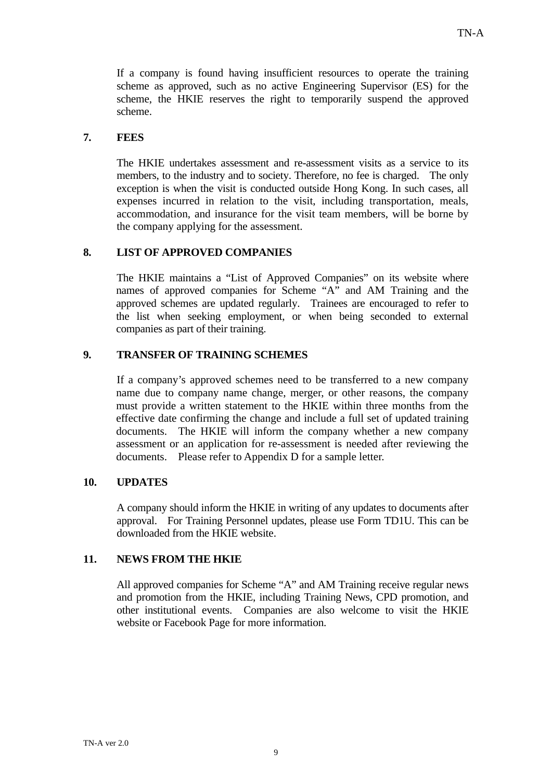If a company is found having insufficient resources to operate the training scheme as approved, such as no active Engineering Supervisor (ES) for the scheme, the HKIE reserves the right to temporarily suspend the approved scheme.

## **7. FEES**

The HKIE undertakes assessment and re-assessment visits as a service to its members, to the industry and to society. Therefore, no fee is charged. The only exception is when the visit is conducted outside Hong Kong. In such cases, all expenses incurred in relation to the visit, including transportation, meals, accommodation, and insurance for the visit team members, will be borne by the company applying for the assessment.

## **8. LIST OF APPROVED COMPANIES**

The HKIE maintains a "List of Approved Companies" on its website where names of approved companies for Scheme "A" and AM Training and the approved schemes are updated regularly. Trainees are encouraged to refer to the list when seeking employment, or when being seconded to external companies as part of their training.

## **9. TRANSFER OF TRAINING SCHEMES**

If a company's approved schemes need to be transferred to a new company name due to company name change, merger, or other reasons, the company must provide a written statement to the HKIE within three months from the effective date confirming the change and include a full set of updated training documents. The HKIE will inform the company whether a new company assessment or an application for re-assessment is needed after reviewing the documents. Please refer to Appendix D for a sample letter.

#### **10. UPDATES**

A company should inform the HKIE in writing of any updates to documents after approval. For Training Personnel updates, please use Form TD1U. This can be downloaded from the HKIE website.

#### **11. NEWS FROM THE HKIE**

All approved companies for Scheme "A" and AM Training receive regular news and promotion from the HKIE, including Training News, CPD promotion, and other institutional events. Companies are also welcome to visit the HKIE website or Facebook Page for more information.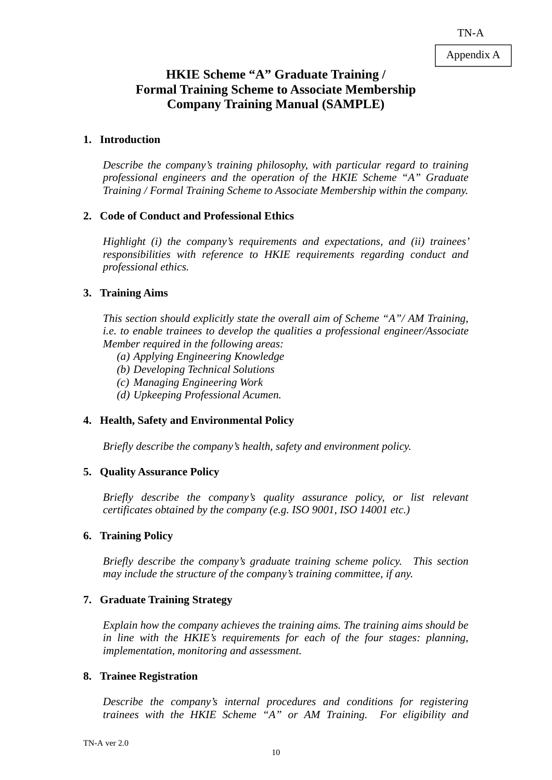# **HKIE Scheme "A" Graduate Training / Formal Training Scheme to Associate Membership Company Training Manual (SAMPLE)**

## **1. Introduction**

*Describe the company's training philosophy, with particular regard to training professional engineers and the operation of the HKIE Scheme "A" Graduate Training / Formal Training Scheme to Associate Membership within the company.* 

## **2. Code of Conduct and Professional Ethics**

*Highlight (i) the company's requirements and expectations, and (ii) trainees' responsibilities with reference to HKIE requirements regarding conduct and professional ethics.* 

## **3. Training Aims**

*This section should explicitly state the overall aim of Scheme "A"/ AM Training, i.e. to enable trainees to develop the qualities a professional engineer/Associate Member required in the following areas:* 

- *(a) Applying Engineering Knowledge*
- *(b) Developing Technical Solutions*
- *(c) Managing Engineering Work*
- *(d) Upkeeping Professional Acumen.*

## **4. Health, Safety and Environmental Policy**

*Briefly describe the company's health, safety and environment policy.* 

## **5. Quality Assurance Policy**

*Briefly describe the company's quality assurance policy, or list relevant certificates obtained by the company (e.g. ISO 9001, ISO 14001 etc.)* 

#### **6. Training Policy**

*Briefly describe the company's graduate training scheme policy. This section may include the structure of the company's training committee, if any.* 

## **7. Graduate Training Strategy**

*Explain how the company achieves the training aims. The training aims should be in line with the HKIE's requirements for each of the four stages: planning, implementation, monitoring and assessment.* 

#### **8. Trainee Registration**

*Describe the company's internal procedures and conditions for registering trainees with the HKIE Scheme "A" or AM Training. For eligibility and*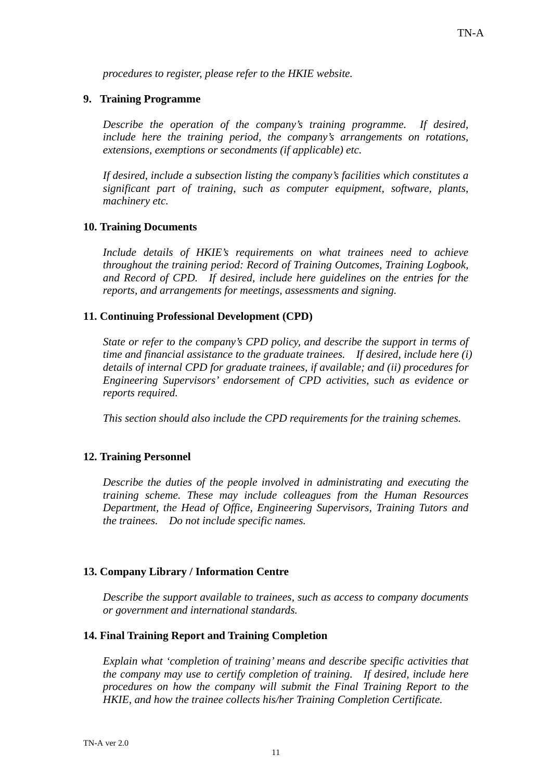*procedures to register, please refer to the HKIE website.* 

#### **9. Training Programme**

*Describe the operation of the company's training programme. If desired, include here the training period, the company's arrangements on rotations, extensions, exemptions or secondments (if applicable) etc.* 

*If desired, include a subsection listing the company's facilities which constitutes a significant part of training, such as computer equipment, software, plants, machinery etc.* 

#### **10. Training Documents**

*Include details of HKIE's requirements on what trainees need to achieve throughout the training period: Record of Training Outcomes, Training Logbook, and Record of CPD. If desired, include here guidelines on the entries for the reports, and arrangements for meetings, assessments and signing.* 

#### **11. Continuing Professional Development (CPD)**

*State or refer to the company's CPD policy, and describe the support in terms of time and financial assistance to the graduate trainees. If desired, include here (i) details of internal CPD for graduate trainees, if available; and (ii) procedures for Engineering Supervisors' endorsement of CPD activities, such as evidence or reports required.* 

*This section should also include the CPD requirements for the training schemes.* 

#### **12. Training Personnel**

*Describe the duties of the people involved in administrating and executing the training scheme. These may include colleagues from the Human Resources Department, the Head of Office, Engineering Supervisors, Training Tutors and the trainees. Do not include specific names.* 

#### **13. Company Library / Information Centre**

*Describe the support available to trainees, such as access to company documents or government and international standards.* 

#### **14. Final Training Report and Training Completion**

*Explain what 'completion of training' means and describe specific activities that the company may use to certify completion of training. If desired, include here procedures on how the company will submit the Final Training Report to the HKIE, and how the trainee collects his/her Training Completion Certificate.*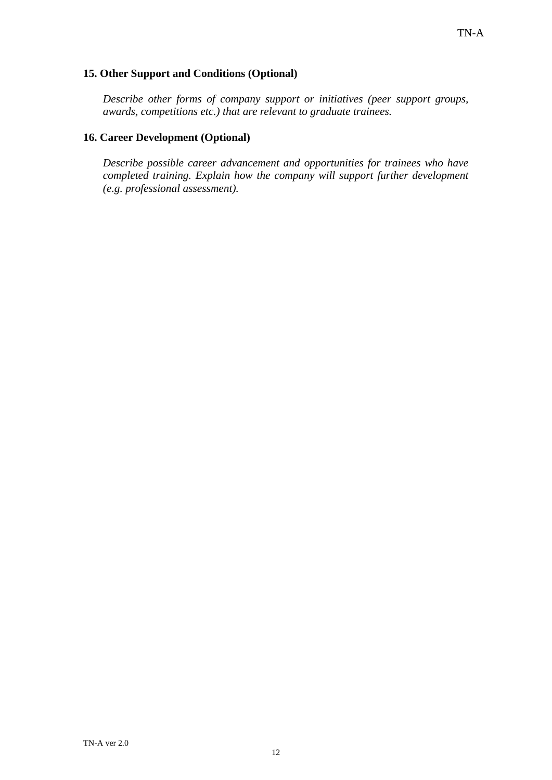## **15. Other Support and Conditions (Optional)**

*Describe other forms of company support or initiatives (peer support groups, awards, competitions etc.) that are relevant to graduate trainees.* 

## **16. Career Development (Optional)**

*Describe possible career advancement and opportunities for trainees who have completed training. Explain how the company will support further development (e.g. professional assessment).*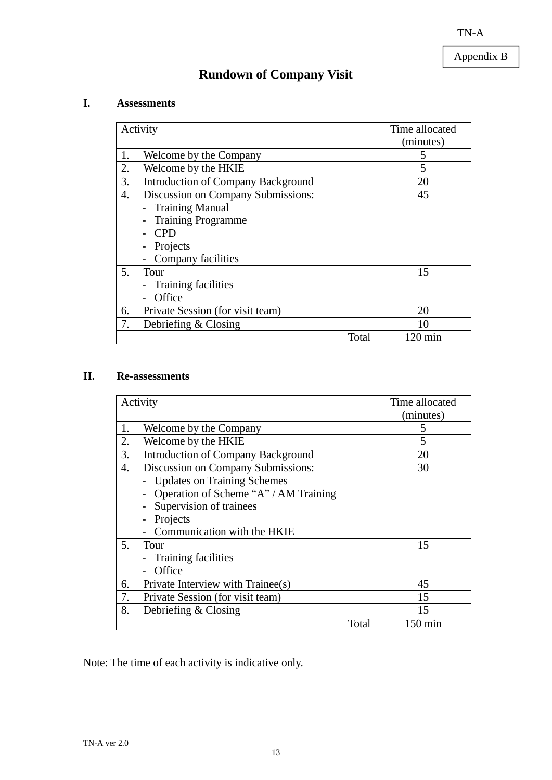Appendix B

# **Rundown of Company Visit**

## **I. Assessments**

|    | Activity                                                                                                                                  | Time allocated<br>(minutes) |
|----|-------------------------------------------------------------------------------------------------------------------------------------------|-----------------------------|
| 1. | Welcome by the Company                                                                                                                    | 5                           |
| 2. | Welcome by the HKIE                                                                                                                       | 5                           |
| 3. | <b>Introduction of Company Background</b>                                                                                                 | 20                          |
| 4. | Discussion on Company Submissions:<br><b>Training Manual</b><br><b>Training Programme</b><br><b>CPD</b><br>Projects<br>Company facilities | 45                          |
| 5. | Tour<br>Training facilities<br>Office                                                                                                     | 15                          |
| 6. | Private Session (for visit team)                                                                                                          | 20                          |
| 7. | Debriefing $& Closing$                                                                                                                    | 10                          |
|    | Total                                                                                                                                     | $120 \text{ min}$           |

## **II. Re-assessments**

|    | Activity                                  |       | Time allocated |
|----|-------------------------------------------|-------|----------------|
|    |                                           |       | (minutes)      |
| 1. | Welcome by the Company                    |       | 5              |
| 2. | Welcome by the HKIE                       |       | 5              |
| 3. | <b>Introduction of Company Background</b> |       | 20             |
| 4. | Discussion on Company Submissions:        |       | 30             |
|    | <b>Updates on Training Schemes</b>        |       |                |
|    | Operation of Scheme "A" / AM Training     |       |                |
|    | Supervision of trainees                   |       |                |
|    | Projects                                  |       |                |
|    | Communication with the HKIE               |       |                |
| 5. | Tour                                      |       | 15             |
|    | Training facilities                       |       |                |
|    | Office                                    |       |                |
| 6. | Private Interview with Trainee(s)         |       | 45             |
| 7. | Private Session (for visit team)          |       | 15             |
| 8. | Debriefing & Closing                      |       | 15             |
|    |                                           | Total | 150 min        |

Note: The time of each activity is indicative only.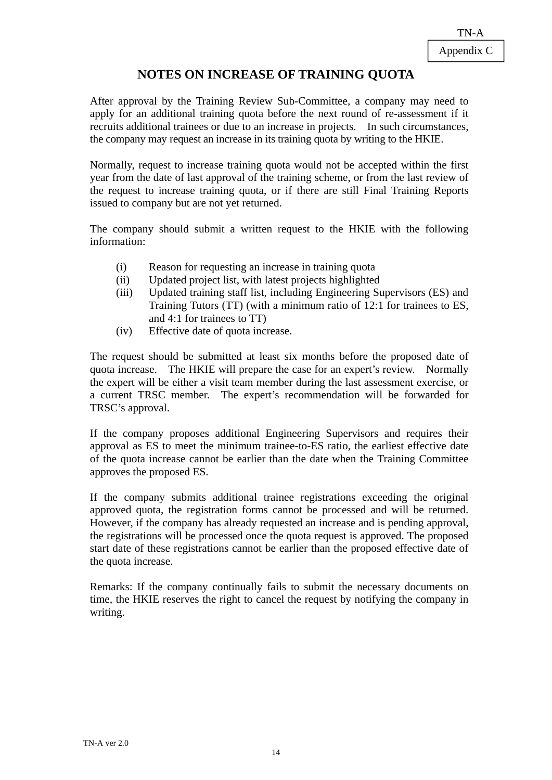# **NOTES ON INCREASE OF TRAINING QUOTA**

After approval by the Training Review Sub-Committee, a company may need to apply for an additional training quota before the next round of re-assessment if it recruits additional trainees or due to an increase in projects. In such circumstances, the company may request an increase in its training quota by writing to the HKIE.

Normally, request to increase training quota would not be accepted within the first year from the date of last approval of the training scheme, or from the last review of the request to increase training quota, or if there are still Final Training Reports issued to company but are not yet returned.

The company should submit a written request to the HKIE with the following information:

- (i) Reason for requesting an increase in training quota
- (ii) Updated project list, with latest projects highlighted
- (iii) Updated training staff list, including Engineering Supervisors (ES) and Training Tutors (TT) (with a minimum ratio of 12:1 for trainees to ES, and 4:1 for trainees to TT)
- (iv) Effective date of quota increase.

The request should be submitted at least six months before the proposed date of quota increase. The HKIE will prepare the case for an expert's review. Normally the expert will be either a visit team member during the last assessment exercise, or a current TRSC member. The expert's recommendation will be forwarded for TRSC's approval.

If the company proposes additional Engineering Supervisors and requires their approval as ES to meet the minimum trainee-to-ES ratio, the earliest effective date of the quota increase cannot be earlier than the date when the Training Committee approves the proposed ES.

If the company submits additional trainee registrations exceeding the original approved quota, the registration forms cannot be processed and will be returned. However, if the company has already requested an increase and is pending approval, the registrations will be processed once the quota request is approved. The proposed start date of these registrations cannot be earlier than the proposed effective date of the quota increase.

Remarks: If the company continually fails to submit the necessary documents on time, the HKIE reserves the right to cancel the request by notifying the company in writing.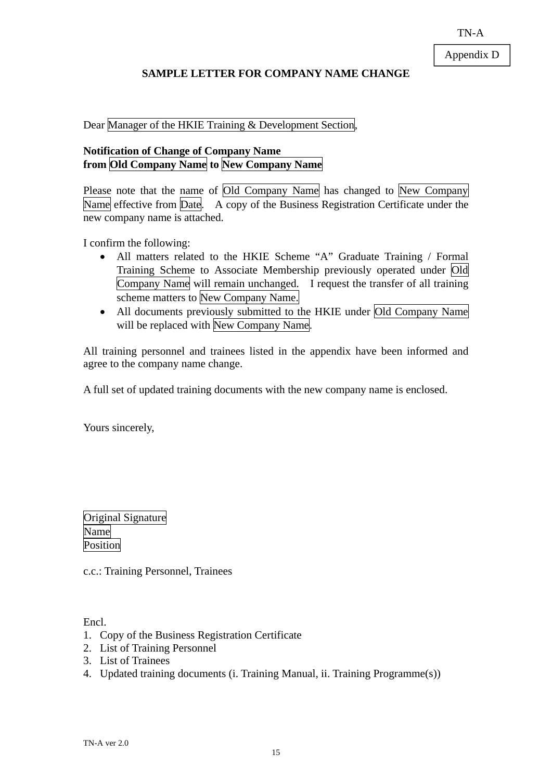## **SAMPLE LETTER FOR COMPANY NAME CHANGE**

Dear Manager of the HKIE Training & Development Section,

## **Notification of Change of Company Name from Old Company Name to New Company Name**

Please note that the name of Old Company Name has changed to New Company Name effective from Date. A copy of the Business Registration Certificate under the new company name is attached.

I confirm the following:

- All matters related to the HKIE Scheme "A" Graduate Training / Formal Training Scheme to Associate Membership previously operated under Old Company Name will remain unchanged. I request the transfer of all training scheme matters to New Company Name.
- All documents previously submitted to the HKIE under Old Company Name will be replaced with New Company Name.

All training personnel and trainees listed in the appendix have been informed and agree to the company name change.

A full set of updated training documents with the new company name is enclosed.

Yours sincerely,

|          | Original Signature |
|----------|--------------------|
| Name     |                    |
| Position |                    |

c.c.: Training Personnel, Trainees

Encl.

- 1. Copy of the Business Registration Certificate
- 2. List of Training Personnel
- 3. List of Trainees
- 4. Updated training documents (i. Training Manual, ii. Training Programme(s))